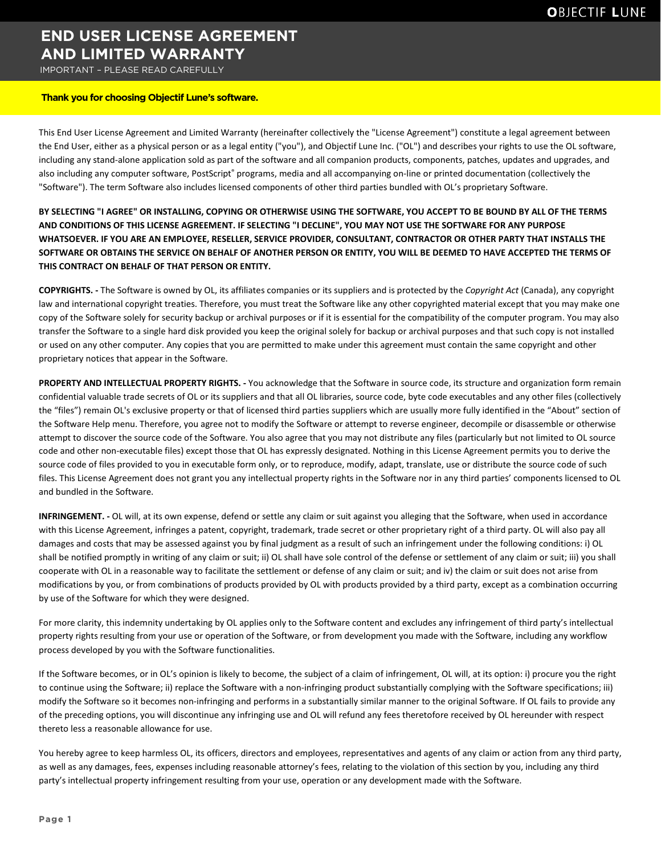# **END USER LICENSE AGREEMENT AND LIMITED WARRANTY**

IMPORTANT – PLEASE READ CAREFULLY

## **Thank you for choosing Objectif Lune's software.**

This End User License Agreement and Limited Warranty (hereinafter collectively the "License Agreement") constitute a legal agreement between the End User, either as a physical person or as a legal entity ("you"), and Objectif Lune Inc. ("OL") and describes your rights to use the OL software, including any stand-alone application sold as part of the software and all companion products, components, patches, updates and upgrades, and also including any computer software, PostScript® programs, media and all accompanying on-line or printed documentation (collectively the "Software"). The term Software also includes licensed components of other third parties bundled with OL's proprietary Software.

**BY SELECTING "I AGREE" OR INSTALLING, COPYING OR OTHERWISE USING THE SOFTWARE, YOU ACCEPT TO BE BOUND BY ALL OF THE TERMS AND CONDITIONS OF THIS LICENSE AGREEMENT. IF SELECTING "I DECLINE", YOU MAY NOT USE THE SOFTWARE FOR ANY PURPOSE WHATSOEVER. IF YOU ARE AN EMPLOYEE, RESELLER, SERVICE PROVIDER, CONSULTANT, CONTRACTOR OR OTHER PARTY THAT INSTALLS THE SOFTWARE OR OBTAINS THE SERVICE ON BEHALF OF ANOTHER PERSON OR ENTITY, YOU WILL BE DEEMED TO HAVE ACCEPTED THE TERMS OF THIS CONTRACT ON BEHALF OF THAT PERSON OR ENTITY.**

**COPYRIGHTS. -** The Software is owned by OL, its affiliates companies or its suppliers and is protected by the *Copyright Act* (Canada), any copyright law and international copyright treaties. Therefore, you must treat the Software like any other copyrighted material except that you may make one copy of the Software solely for security backup or archival purposes or if it is essential for the compatibility of the computer program. You may also transfer the Software to a single hard disk provided you keep the original solely for backup or archival purposes and that such copy is not installed or used on any other computer. Any copies that you are permitted to make under this agreement must contain the same copyright and other proprietary notices that appear in the Software.

**PROPERTY AND INTELLECTUAL PROPERTY RIGHTS. -** You acknowledge that the Software in source code, its structure and organization form remain confidential valuable trade secrets of OL or its suppliers and that all OL libraries, source code, byte code executables and any other files (collectively the "files") remain OL's exclusive property or that of licensed third parties suppliers which are usually more fully identified in the "About" section of the Software Help menu. Therefore, you agree not to modify the Software or attempt to reverse engineer, decompile or disassemble or otherwise attempt to discover the source code of the Software. You also agree that you may not distribute any files (particularly but not limited to OL source code and other non-executable files) except those that OL has expressly designated. Nothing in this License Agreement permits you to derive the source code of files provided to you in executable form only, or to reproduce, modify, adapt, translate, use or distribute the source code of such files. This License Agreement does not grant you any intellectual property rights in the Software nor in any third parties' components licensed to OL and bundled in the Software.

**INFRINGEMENT. -** OL will, at its own expense, defend or settle any claim or suit against you alleging that the Software, when used in accordance with this License Agreement, infringes a patent, copyright, trademark, trade secret or other proprietary right of a third party. OL will also pay all damages and costs that may be assessed against you by final judgment as a result of such an infringement under the following conditions: i) OL shall be notified promptly in writing of any claim or suit; ii) OL shall have sole control of the defense or settlement of any claim or suit; iii) you shall cooperate with OL in a reasonable way to facilitate the settlement or defense of any claim or suit; and iv) the claim or suit does not arise from modifications by you, or from combinations of products provided by OL with products provided by a third party, except as a combination occurring by use of the Software for which they were designed.

For more clarity, this indemnity undertaking by OL applies only to the Software content and excludes any infringement of third party's intellectual property rights resulting from your use or operation of the Software, or from development you made with the Software, including any workflow process developed by you with the Software functionalities.

If the Software becomes, or in OL's opinion is likely to become, the subject of a claim of infringement, OL will, at its option: i) procure you the right to continue using the Software; ii) replace the Software with a non-infringing product substantially complying with the Software specifications; iii) modify the Software so it becomes non-infringing and performs in a substantially similar manner to the original Software. If OL fails to provide any of the preceding options, you will discontinue any infringing use and OL will refund any fees theretofore received by OL hereunder with respect thereto less a reasonable allowance for use.

You hereby agree to keep harmless OL, its officers, directors and employees, representatives and agents of any claim or action from any third party, as well as any damages, fees, expenses including reasonable attorney's fees, relating to the violation of this section by you, including any third party's intellectual property infringement resulting from your use, operation or any development made with the Software.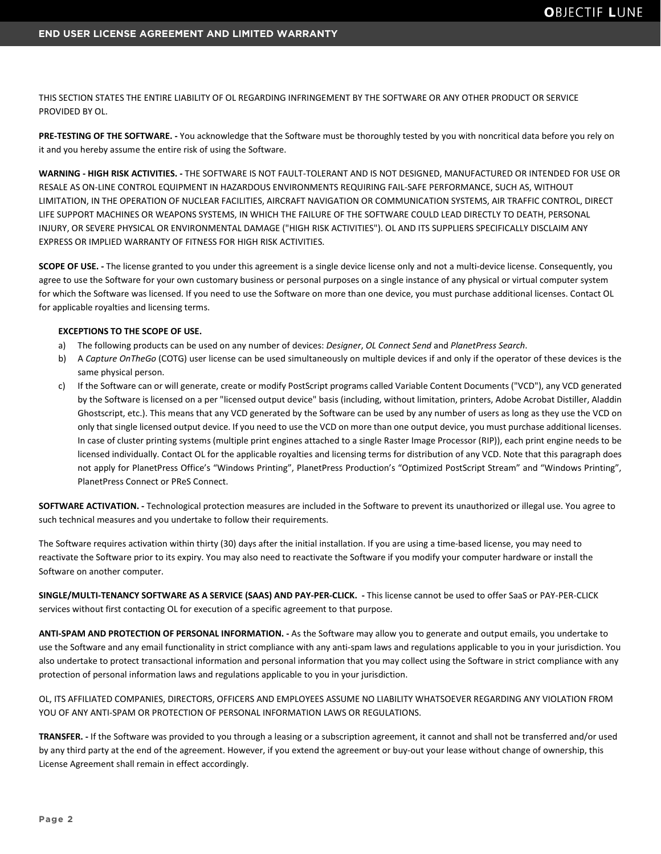THIS SECTION STATES THE ENTIRE LIABILITY OF OL REGARDING INFRINGEMENT BY THE SOFTWARE OR ANY OTHER PRODUCT OR SERVICE PROVIDED BY OL.

**PRE-TESTING OF THE SOFTWARE. -** You acknowledge that the Software must be thoroughly tested by you with noncritical data before you rely on it and you hereby assume the entire risk of using the Software.

**WARNING - HIGH RISK ACTIVITIES. -** THE SOFTWARE IS NOT FAULT-TOLERANT AND IS NOT DESIGNED, MANUFACTURED OR INTENDED FOR USE OR RESALE AS ON-LINE CONTROL EQUIPMENT IN HAZARDOUS ENVIRONMENTS REQUIRING FAIL-SAFE PERFORMANCE, SUCH AS, WITHOUT LIMITATION, IN THE OPERATION OF NUCLEAR FACILITIES, AIRCRAFT NAVIGATION OR COMMUNICATION SYSTEMS, AIR TRAFFIC CONTROL, DIRECT LIFE SUPPORT MACHINES OR WEAPONS SYSTEMS, IN WHICH THE FAILURE OF THE SOFTWARE COULD LEAD DIRECTLY TO DEATH, PERSONAL INJURY, OR SEVERE PHYSICAL OR ENVIRONMENTAL DAMAGE ("HIGH RISK ACTIVITIES"). OL AND ITS SUPPLIERS SPECIFICALLY DISCLAIM ANY EXPRESS OR IMPLIED WARRANTY OF FITNESS FOR HIGH RISK ACTIVITIES.

**SCOPE OF USE. -** The license granted to you under this agreement is a single device license only and not a multi-device license. Consequently, you agree to use the Software for your own customary business or personal purposes on a single instance of any physical or virtual computer system for which the Software was licensed. If you need to use the Software on more than one device, you must purchase additional licenses. Contact OL for applicable royalties and licensing terms.

## **EXCEPTIONS TO THE SCOPE OF USE.**

- a) The following products can be used on any number of devices: *Designer*, *OL Connect Send* and *PlanetPress Search*.
- b) A *Capture OnTheGo* (COTG) user license can be used simultaneously on multiple devices if and only if the operator of these devices is the same physical person.
- c) If the Software can or will generate, create or modify PostScript programs called Variable Content Documents ("VCD"), any VCD generated by the Software is licensed on a per "licensed output device" basis (including, without limitation, printers, Adobe Acrobat Distiller, Aladdin Ghostscript, etc.). This means that any VCD generated by the Software can be used by any number of users as long as they use the VCD on only that single licensed output device. If you need to use the VCD on more than one output device, you must purchase additional licenses. In case of cluster printing systems (multiple print engines attached to a single Raster Image Processor (RIP)), each print engine needs to be licensed individually. Contact OL for the applicable royalties and licensing terms for distribution of any VCD. Note that this paragraph does not apply for PlanetPress Office's "Windows Printing", PlanetPress Production's "Optimized PostScript Stream" and "Windows Printing", PlanetPress Connect or PReS Connect.

**SOFTWARE ACTIVATION. -** Technological protection measures are included in the Software to prevent its unauthorized or illegal use. You agree to such technical measures and you undertake to follow their requirements.

The Software requires activation within thirty (30) days after the initial installation. If you are using a time-based license, you may need to reactivate the Software prior to its expiry. You may also need to reactivate the Software if you modify your computer hardware or install the Software on another computer.

**SINGLE/MULTI-TENANCY SOFTWARE AS A SERVICE (SAAS) AND PAY-PER-CLICK. -** This license cannot be used to offer SaaS or PAY-PER-CLICK services without first contacting OL for execution of a specific agreement to that purpose.

**ANTI-SPAM AND PROTECTION OF PERSONAL INFORMATION. -** As the Software may allow you to generate and output emails, you undertake to use the Software and any email functionality in strict compliance with any anti-spam laws and regulations applicable to you in your jurisdiction. You also undertake to protect transactional information and personal information that you may collect using the Software in strict compliance with any protection of personal information laws and regulations applicable to you in your jurisdiction.

OL, ITS AFFILIATED COMPANIES, DIRECTORS, OFFICERS AND EMPLOYEES ASSUME NO LIABILITY WHATSOEVER REGARDING ANY VIOLATION FROM YOU OF ANY ANTI-SPAM OR PROTECTION OF PERSONAL INFORMATION LAWS OR REGULATIONS.

**TRANSFER. -** If the Software was provided to you through a leasing or a subscription agreement, it cannot and shall not be transferred and/or used by any third party at the end of the agreement. However, if you extend the agreement or buy-out your lease without change of ownership, this License Agreement shall remain in effect accordingly.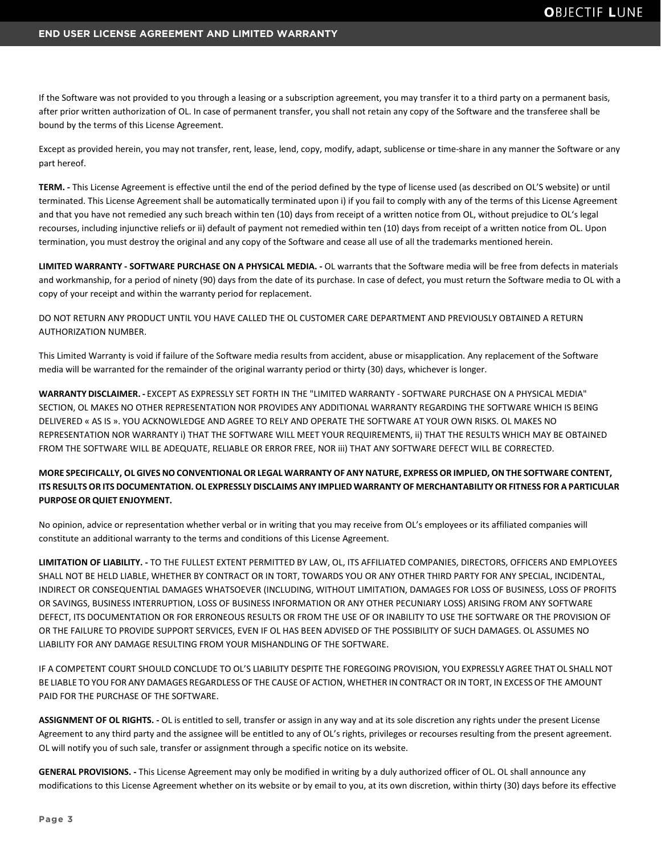If the Software was not provided to you through a leasing or a subscription agreement, you may transfer it to a third party on a permanent basis, after prior written authorization of OL. In case of permanent transfer, you shall not retain any copy of the Software and the transferee shall be bound by the terms of this License Agreement.

Except as provided herein, you may not transfer, rent, lease, lend, copy, modify, adapt, sublicense or time-share in any manner the Software or any part hereof.

**TERM. -** This License Agreement is effective until the end of the period defined by the type of license used (as described on OL'S website) or until terminated. This License Agreement shall be automatically terminated upon i) if you fail to comply with any of the terms of this License Agreement and that you have not remedied any such breach within ten (10) days from receipt of a written notice from OL, without prejudice to OL's legal recourses, including injunctive reliefs or ii) default of payment not remedied within ten (10) days from receipt of a written notice from OL. Upon termination, you must destroy the original and any copy of the Software and cease all use of all the trademarks mentioned herein.

**LIMITED WARRANTY - SOFTWARE PURCHASE ON A PHYSICAL MEDIA. -** OL warrants that the Software media will be free from defects in materials and workmanship, for a period of ninety (90) days from the date of its purchase. In case of defect, you must return the Software media to OL with a copy of your receipt and within the warranty period for replacement.

DO NOT RETURN ANY PRODUCT UNTIL YOU HAVE CALLED THE OL CUSTOMER CARE DEPARTMENT AND PREVIOUSLY OBTAINED A RETURN AUTHORIZATION NUMBER.

This Limited Warranty is void if failure of the Software media results from accident, abuse or misapplication. Any replacement of the Software media will be warranted for the remainder of the original warranty period or thirty (30) days, whichever is longer.

**WARRANTY DISCLAIMER. -** EXCEPT AS EXPRESSLY SET FORTH IN THE "LIMITED WARRANTY - SOFTWARE PURCHASE ON A PHYSICAL MEDIA" SECTION, OL MAKES NO OTHER REPRESENTATION NOR PROVIDES ANY ADDITIONAL WARRANTY REGARDING THE SOFTWARE WHICH IS BEING DELIVERED « AS IS ». YOU ACKNOWLEDGE AND AGREE TO RELY AND OPERATE THE SOFTWARE AT YOUR OWN RISKS. OL MAKES NO REPRESENTATION NOR WARRANTY i) THAT THE SOFTWARE WILL MEET YOUR REQUIREMENTS, ii) THAT THE RESULTS WHICH MAY BE OBTAINED FROM THE SOFTWARE WILL BE ADEQUATE, RELIABLE OR ERROR FREE, NOR iii) THAT ANY SOFTWARE DEFECT WILL BE CORRECTED.

## MORE SPECIFICALLY, OL GIVES NO CONVENTIONAL OR LEGAL WARRANTY OF ANY NATURE, EXPRESS OR IMPLIED, ON THE SOFTWARE CONTENT, ITS RESULTS OR ITS DOCUMENTATION. OL EXPRESSLY DISCLAIMS ANY IMPLIED WARRANTY OF MERCHANTABILITY OR FITNESS FOR A PARTICULAR **PURPOSE ORQUIET ENJOYMENT.**

No opinion, advice or representation whether verbal or in writing that you may receive from OL's employees or its affiliated companies will constitute an additional warranty to the terms and conditions of this License Agreement.

**LIMITATION OF LIABILITY. -** TO THE FULLEST EXTENT PERMITTED BY LAW, OL, ITS AFFILIATED COMPANIES, DIRECTORS, OFFICERS AND EMPLOYEES SHALL NOT BE HELD LIABLE, WHETHER BY CONTRACT OR IN TORT, TOWARDS YOU OR ANY OTHER THIRD PARTY FOR ANY SPECIAL, INCIDENTAL, INDIRECT OR CONSEQUENTIAL DAMAGES WHATSOEVER (INCLUDING, WITHOUT LIMITATION, DAMAGES FOR LOSS OF BUSINESS, LOSS OF PROFITS OR SAVINGS, BUSINESS INTERRUPTION, LOSS OF BUSINESS INFORMATION OR ANY OTHER PECUNIARY LOSS) ARISING FROM ANY SOFTWARE DEFECT, ITS DOCUMENTATION OR FOR ERRONEOUS RESULTS OR FROM THE USE OF OR INABILITY TO USE THE SOFTWARE OR THE PROVISION OF OR THE FAILURE TO PROVIDE SUPPORT SERVICES, EVEN IF OL HAS BEEN ADVISED OF THE POSSIBILITY OF SUCH DAMAGES. OL ASSUMES NO LIABILITY FOR ANY DAMAGE RESULTING FROM YOUR MISHANDLING OF THE SOFTWARE.

IF A COMPETENT COURT SHOULD CONCLUDE TO OL'S LIABILITY DESPITE THE FOREGOING PROVISION, YOU EXPRESSLY AGREE THAT OL SHALL NOT BE LIABLE TO YOU FOR ANY DAMAGES REGARDLESS OF THE CAUSE OF ACTION, WHETHER IN CONTRACT OR IN TORT, IN EXCESS OF THE AMOUNT PAID FOR THE PURCHASE OF THE SOFTWARE.

**ASSIGNMENT OF OL RIGHTS. -** OL is entitled to sell, transfer or assign in any way and at its sole discretion any rights under the present License Agreement to any third party and the assignee will be entitled to any of OL's rights, privileges or recourses resulting from the present agreement. OL will notify you of such sale, transfer or assignment through a specific notice on its website.

**GENERAL PROVISIONS. -** This License Agreement may only be modified in writing by a duly authorized officer of OL. OL shall announce any modifications to this License Agreement whether on its website or by email to you, at its own discretion, within thirty (30) days before its effective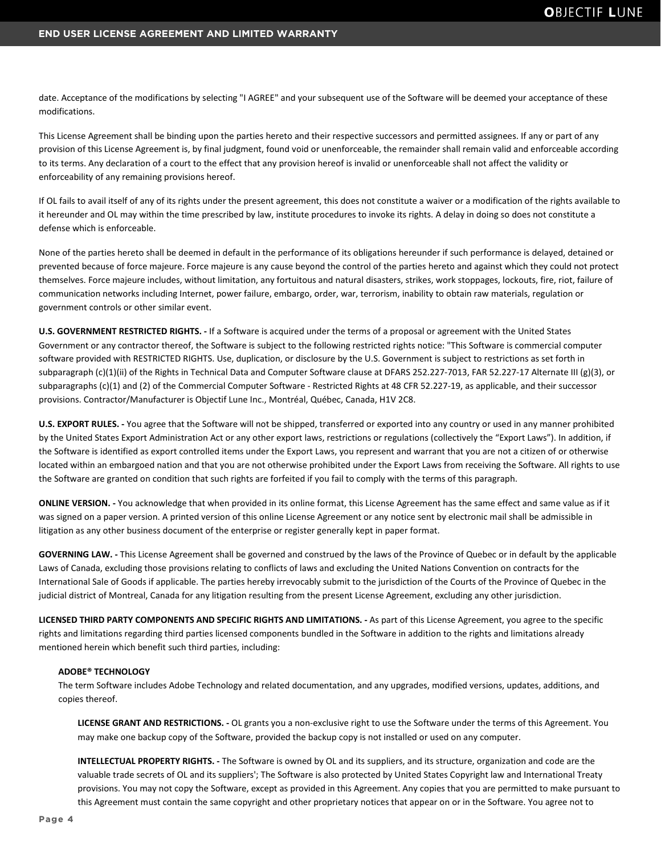date. Acceptance of the modifications by selecting "I AGREE" and your subsequent use of the Software will be deemed your acceptance of these modifications.

This License Agreement shall be binding upon the parties hereto and their respective successors and permitted assignees. If any or part of any provision of this License Agreement is, by final judgment, found void or unenforceable, the remainder shall remain valid and enforceable according to its terms. Any declaration of a court to the effect that any provision hereof is invalid or unenforceable shall not affect the validity or enforceability of any remaining provisions hereof.

If OL fails to avail itself of any of its rights under the present agreement, this does not constitute a waiver or a modification of the rights available to it hereunder and OL may within the time prescribed by law, institute procedures to invoke its rights. A delay in doing so does not constitute a defense which is enforceable.

None of the parties hereto shall be deemed in default in the performance of its obligations hereunder if such performance is delayed, detained or prevented because of force majeure. Force majeure is any cause beyond the control of the parties hereto and against which they could not protect themselves. Force majeure includes, without limitation, any fortuitous and natural disasters, strikes, work stoppages, lockouts, fire, riot, failure of communication networks including Internet, power failure, embargo, order, war, terrorism, inability to obtain raw materials, regulation or government controls or other similar event.

**U.S. GOVERNMENT RESTRICTED RIGHTS. -** If a Software is acquired under the terms of a proposal or agreement with the United States Government or any contractor thereof, the Software is subject to the following restricted rights notice: "This Software is commercial computer software provided with RESTRICTED RIGHTS. Use, duplication, or disclosure by the U.S. Government is subject to restrictions as set forth in subparagraph (c)(1)(ii) of the Rights in Technical Data and Computer Software clause at DFARS 252.227-7013, FAR 52.227-17 Alternate III (g)(3), or subparagraphs (c)(1) and (2) of the Commercial Computer Software - Restricted Rights at 48 CFR 52.227-19, as applicable, and their successor provisions. Contractor/Manufacturer is Objectif Lune Inc., Montréal, Québec, Canada, H1V 2C8.

**U.S. EXPORT RULES. -** You agree that the Software will not be shipped, transferred or exported into any country or used in any manner prohibited by the United States Export Administration Act or any other export laws, restrictions or regulations (collectively the "Export Laws"). In addition, if the Software is identified as export controlled items under the Export Laws, you represent and warrant that you are not a citizen of or otherwise located within an embargoed nation and that you are not otherwise prohibited under the Export Laws from receiving the Software. All rights to use the Software are granted on condition that such rights are forfeited if you fail to comply with the terms of this paragraph.

**ONLINE VERSION. -** You acknowledge that when provided in its online format, this License Agreement has the same effect and same value as if it was signed on a paper version. A printed version of this online License Agreement or any notice sent by electronic mail shall be admissible in litigation as any other business document of the enterprise or register generally kept in paper format.

**GOVERNING LAW. -** This License Agreement shall be governed and construed by the laws of the Province of Quebec or in default by the applicable Laws of Canada, excluding those provisions relating to conflicts of laws and excluding the United Nations Convention on contracts for the International Sale of Goods if applicable. The parties hereby irrevocably submit to the jurisdiction of the Courts of the Province of Quebec in the judicial district of Montreal, Canada for any litigation resulting from the present License Agreement, excluding any other jurisdiction.

**LICENSED THIRD PARTY COMPONENTS AND SPECIFIC RIGHTS AND LIMITATIONS. -** As part of this License Agreement, you agree to the specific rights and limitations regarding third parties licensed components bundled in the Software in addition to the rights and limitations already mentioned herein which benefit such third parties, including:

## **ADOBE® TECHNOLOGY**

The term Software includes Adobe Technology and related documentation, and any upgrades, modified versions, updates, additions, and copies thereof.

**LICENSE GRANT AND RESTRICTIONS. -** OL grants you a non-exclusive right to use the Software under the terms of this Agreement. You may make one backup copy of the Software, provided the backup copy is not installed or used on any computer.

**INTELLECTUAL PROPERTY RIGHTS. -** The Software is owned by OL and its suppliers, and its structure, organization and code are the valuable trade secrets of OL and its suppliers'; The Software is also protected by United States Copyright law and International Treaty provisions. You may not copy the Software, except as provided in this Agreement. Any copies that you are permitted to make pursuant to this Agreement must contain the same copyright and other proprietary notices that appear on or in the Software. You agree not to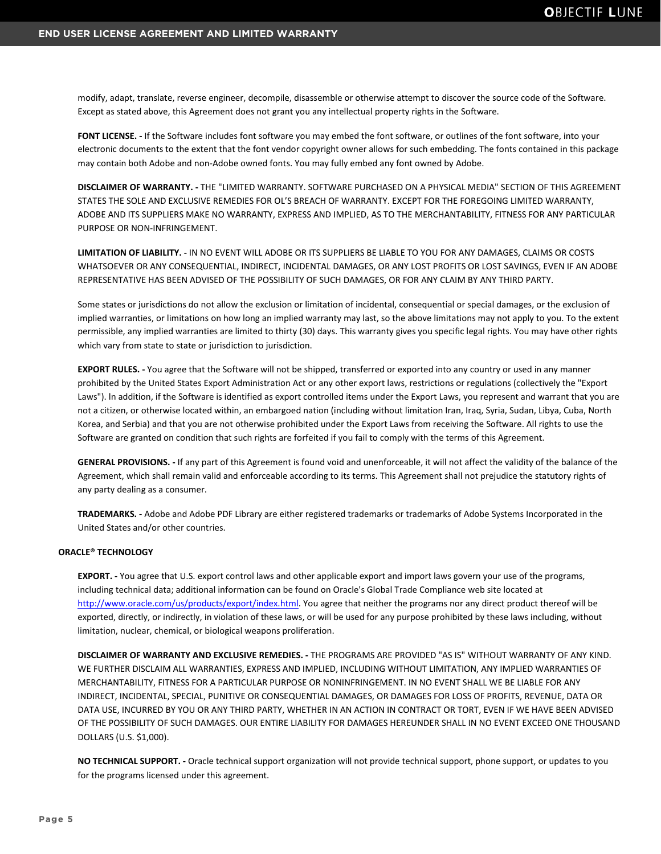modify, adapt, translate, reverse engineer, decompile, disassemble or otherwise attempt to discover the source code of the Software. Except as stated above, this Agreement does not grant you any intellectual property rights in the Software.

**FONT LICENSE. -** If the Software includes font software you may embed the font software, or outlines of the font software, into your electronic documents to the extent that the font vendor copyright owner allows for such embedding. The fonts contained in this package may contain both Adobe and non-Adobe owned fonts. You may fully embed any font owned by Adobe.

**DISCLAIMER OF WARRANTY. -** THE "LIMITED WARRANTY. SOFTWARE PURCHASED ON A PHYSICAL MEDIA" SECTION OF THIS AGREEMENT STATES THE SOLE AND EXCLUSIVE REMEDIES FOR OL'S BREACH OF WARRANTY. EXCEPT FOR THE FOREGOING LIMITED WARRANTY, ADOBE AND ITS SUPPLIERS MAKE NO WARRANTY, EXPRESS AND IMPLIED, AS TO THE MERCHANTABILITY, FITNESS FOR ANY PARTICULAR PURPOSE OR NON-INFRINGEMENT.

**LIMITATION OF LIABILITY. -** IN NO EVENT WILL ADOBE OR ITS SUPPLIERS BE LIABLE TO YOU FOR ANY DAMAGES, CLAIMS OR COSTS WHATSOEVER OR ANY CONSEQUENTIAL, INDIRECT, INCIDENTAL DAMAGES, OR ANY LOST PROFITS OR LOST SAVINGS, EVEN IF AN ADOBE REPRESENTATIVE HAS BEEN ADVISED OF THE POSSIBILITY OF SUCH DAMAGES, OR FOR ANY CLAIM BY ANY THIRD PARTY.

Some states or jurisdictions do not allow the exclusion or limitation of incidental, consequential or special damages, or the exclusion of implied warranties, or limitations on how long an implied warranty may last, so the above limitations may not apply to you. To the extent permissible, any implied warranties are limited to thirty (30) days. This warranty gives you specific legal rights. You may have other rights which vary from state to state or jurisdiction to jurisdiction.

**EXPORT RULES. -** You agree that the Software will not be shipped, transferred or exported into any country or used in any manner prohibited by the United States Export Administration Act or any other export laws, restrictions or regulations (collectively the "Export Laws"). ln addition, if the Software is identified as export controlled items under the Export Laws, you represent and warrant that you are not a citizen, or otherwise located within, an embargoed nation (including without limitation Iran, Iraq, Syria, Sudan, Libya, Cuba, North Korea, and Serbia) and that you are not otherwise prohibited under the Export Laws from receiving the Software. All rights to use the Software are granted on condition that such rights are forfeited if you fail to comply with the terms of this Agreement.

**GENERAL PROVISIONS. -** If any part of this Agreement is found void and unenforceable, it will not affect the validity of the balance of the Agreement, which shall remain valid and enforceable according to its terms. This Agreement shall not prejudice the statutory rights of any party dealing as a consumer.

**TRADEMARKS. -** Adobe and Adobe PDF Library are either registered trademarks or trademarks of Adobe Systems Incorporated in the United States and/or other countries.

## **ORACLE® TECHNOLOGY**

**EXPORT. -** You agree that U.S. export control laws and other applicable export and import laws govern your use of the programs, including technical data; additional information can be found on Oracle's Global Trade Compliance web site located at [http://www.oracle.com/us/products/export/index.html.](http://www.oracle.com/us/products/export/index.html) You agree that neither the programs nor any direct product thereof will be exported, directly, or indirectly, in violation of these laws, or will be used for any purpose prohibited by these laws including, without limitation, nuclear, chemical, or biological weapons proliferation.

**DISCLAIMER OF WARRANTY AND EXCLUSIVE REMEDIES. -** THE PROGRAMS ARE PROVIDED "AS IS" WITHOUT WARRANTY OF ANY KIND. WE FURTHER DISCLAIM ALL WARRANTIES, EXPRESS AND IMPLIED, INCLUDING WITHOUT LIMITATION, ANY IMPLIED WARRANTIES OF MERCHANTABILITY, FITNESS FOR A PARTICULAR PURPOSE OR NONINFRINGEMENT. IN NO EVENT SHALL WE BE LIABLE FOR ANY INDIRECT, INCIDENTAL, SPECIAL, PUNITIVE OR CONSEQUENTIAL DAMAGES, OR DAMAGES FOR LOSS OF PROFITS, REVENUE, DATA OR DATA USE, INCURRED BY YOU OR ANY THIRD PARTY, WHETHER IN AN ACTION IN CONTRACT OR TORT, EVEN IF WE HAVE BEEN ADVISED OF THE POSSIBILITY OF SUCH DAMAGES. OUR ENTIRE LIABILITY FOR DAMAGES HEREUNDER SHALL IN NO EVENT EXCEED ONE THOUSAND DOLLARS (U.S. \$1,000).

**NO TECHNICAL SUPPORT. -** Oracle technical support organization will not provide technical support, phone support, or updates to you for the programs licensed under this agreement.